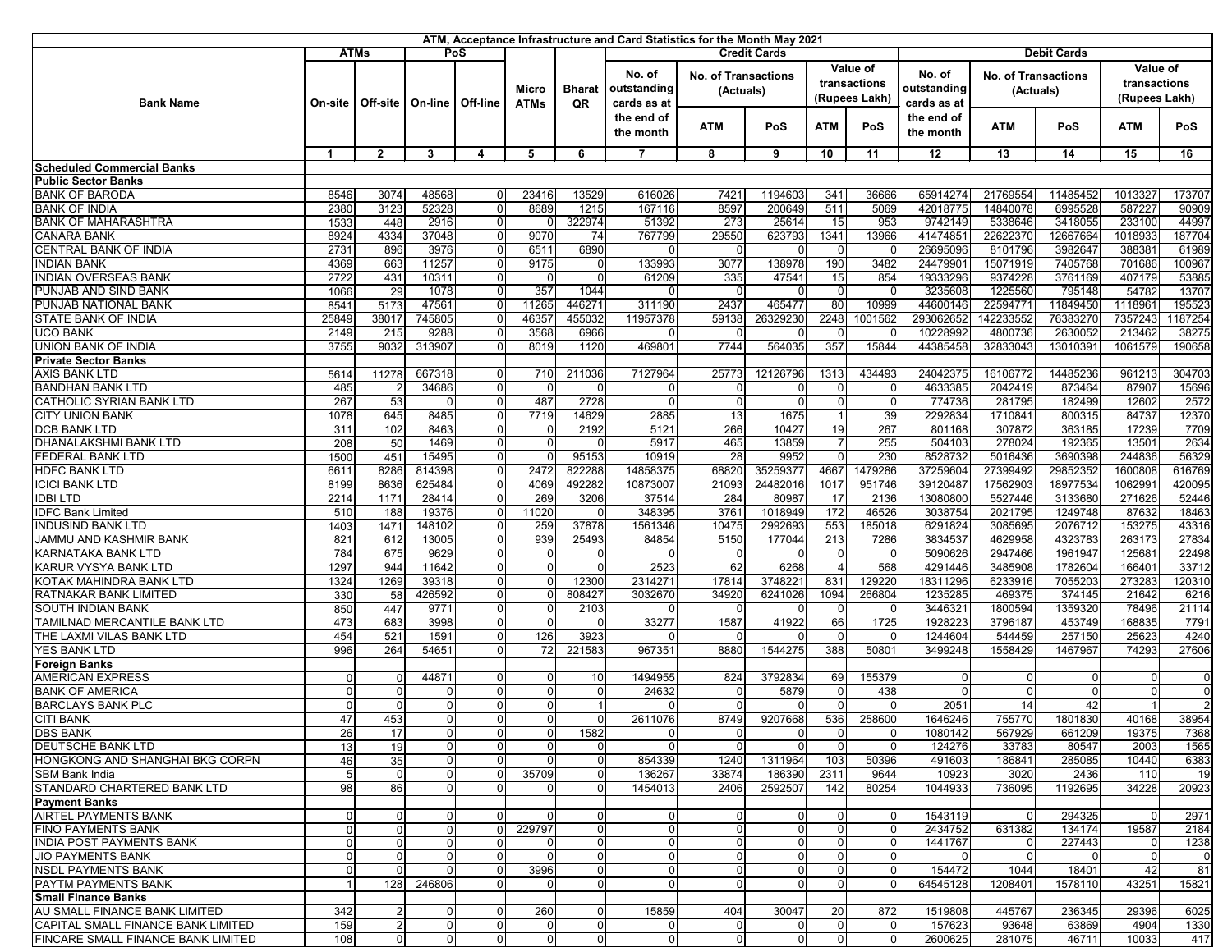| ATM, Acceptance Infrastructure and Card Statistics for the Month May 2021 |                                           |                  |                            |                          |                             |                            |                                      |                                         |                      |                                           |                                  |                                      |                                         |                    |                                           |                 |
|---------------------------------------------------------------------------|-------------------------------------------|------------------|----------------------------|--------------------------|-----------------------------|----------------------------|--------------------------------------|-----------------------------------------|----------------------|-------------------------------------------|----------------------------------|--------------------------------------|-----------------------------------------|--------------------|-------------------------------------------|-----------------|
|                                                                           | <b>ATMs</b><br>PoS<br><b>Credit Cards</b> |                  |                            |                          |                             |                            |                                      |                                         |                      |                                           |                                  | <b>Debit Cards</b>                   |                                         |                    |                                           |                 |
| <b>Bank Name</b>                                                          | On-site                                   | <b>Off-site</b>  | On-line                    | Off-line                 | <b>Micro</b><br><b>ATMs</b> | <b>Bharat</b><br><b>QR</b> | No. of<br>outstanding<br>cards as at | <b>No. of Transactions</b><br>(Actuals) |                      | Value of<br>transactions<br>(Rupees Lakh) |                                  | No. of<br>outstanding<br>cards as at | <b>No. of Transactions</b><br>(Actuals) |                    | Value of<br>transactions<br>(Rupees Lakh) |                 |
|                                                                           |                                           |                  |                            |                          |                             |                            | the end of<br>the month              | <b>ATM</b>                              | <b>PoS</b>           | <b>ATM</b>                                | PoS                              | the end of<br>the month              | <b>ATM</b>                              | PoS                | <b>ATM</b>                                | <b>PoS</b>      |
| <b>Scheduled Commercial Banks</b>                                         | -1                                        | $\mathbf{2}$     | 3                          | 4                        | 5                           | 6                          | $\overline{7}$                       | 8                                       | 9                    | 10                                        | 11                               | 12                                   | 13                                      | 14                 | 15                                        | 16              |
| <b>Public Sector Banks</b>                                                |                                           |                  |                            |                          |                             |                            |                                      |                                         |                      |                                           |                                  |                                      |                                         |                    |                                           |                 |
| <b>BANK OF BARODA</b>                                                     | 8546                                      | 3074             | 48568                      | $\Omega$                 | 23416                       | 13529                      | 616026                               | 7421                                    | 1194603              | 341                                       | 36666                            | 65914274                             | 21769554                                | 11485452           | 1013327                                   | 173707          |
| <b>BANK OF INDIA</b>                                                      | 2380                                      | 3123             | 52328                      | $\Omega$                 | 8689                        | 1215                       | 167116                               | 8597                                    | 200649               | 511                                       | 5069                             | 42018775                             | 14840078                                | 6995528            | 587227                                    | 90909           |
| <b>BANK OF MAHARASHTRA</b>                                                | 1533                                      | 448              | 2916                       | $\overline{0}$           |                             | 322974                     | 51392                                | 273                                     | 25614                | 15                                        | 953                              | 9742149                              | 5338646                                 | 3418055            | 233100                                    | 44997           |
| <b>CANARA BANK</b>                                                        | 8924                                      | 4334             | 37048                      | $\mathbf 0$              | 9070                        | 74                         | 767799                               | 29550                                   | 623793               | 1341                                      | 13966                            | 41474851                             | 22622370                                | 12667664           | 1018933                                   | 187704          |
| <b>CENTRAL BANK OF INDIA</b>                                              | 2731                                      | 896              | 3976                       | $\overline{0}$           | 6511                        | 6890                       | $\Omega$                             |                                         |                      | $\Omega$                                  |                                  | 26695096                             | 8101796                                 | 3982647            | 388381                                    | 61989           |
| <b>INDIAN BANK</b>                                                        | 4369                                      | 663              | 11257                      | $\overline{0}$           | 9175                        |                            | 133993                               | 3077                                    | 138978               | 190                                       | 3482                             | 24479901                             | 15071919                                | 7405768            | 701686                                    | 100967          |
| <b>INDIAN OVERSEAS BANK</b>                                               | 2722                                      | 431              | 10311                      | $\overline{0}$           |                             |                            | 61209                                | 335                                     | 47541                | 15                                        | 854                              | 19333296                             | 9374228                                 | 3761169            | 407179                                    | 53885           |
| PUNJAB AND SIND BANK                                                      | 1066                                      | 29               | 1078                       | $\mathbf 0$              | 357                         | 1044                       |                                      |                                         |                      | $\overline{0}$                            | $\Omega$                         | 3235608                              | 1225560                                 | 795148             | 54782                                     | 13707           |
| PUNJAB NATIONAL BANK                                                      | 8541                                      | 5173             | 47561                      | $\mathbf 0$              | 11265                       | 446271                     | 311190                               | 2437                                    | 465477               | 80                                        | 10999                            | 44600146                             | 22594771                                | 11849450           | 1118961                                   | 195523          |
| <b>STATE BANK OF INDIA</b>                                                | 25849                                     | 38017            | 745805                     | $\Omega$                 | 46357                       | 455032                     | 11957378                             | 59138                                   | 26329230             | 2248                                      | 1001562                          | 293062652                            | 142233552                               | 76383270           | 7357243                                   | 187254          |
| <b>UCO BANK</b>                                                           | 2149                                      | $\overline{215}$ | 9288                       | $\Omega$                 | 3568                        | 6966                       | $\Omega$                             |                                         |                      | $\Omega$                                  |                                  | 10228992                             | 4800736                                 | 2630052            | 213462                                    | 38275           |
| <b>UNION BANK OF INDIA</b>                                                | 3755                                      | 9032             | 313907                     | $\Omega$                 | 8019                        | 1120                       | 469801                               | 7744                                    | 564035               | 357                                       | 15844                            | 44385458                             | 32833043                                | 13010391           | 1061579                                   | 190658          |
| <b>Private Sector Banks</b>                                               |                                           |                  |                            |                          |                             |                            |                                      |                                         |                      |                                           |                                  |                                      |                                         |                    |                                           |                 |
| <b>AXIS BANK LTD</b>                                                      | 5614                                      | 11278            | 667318<br>34686            | $\Omega$                 | 710                         | 211036                     | 7127964                              | 25773                                   | 12126796             | 1313                                      | 434493<br>$\Omega$               | 24042375<br>4633385                  | 16106772<br>2042419                     | 14485236<br>873464 | 961213<br>87907                           | 304703          |
| <b>BANDHAN BANK LTD</b><br><b>CATHOLIC SYRIAN BANK LTD</b>                | 485<br>267                                | 53               | $\Omega$                   | 0I<br>$\Omega$           | 487                         | 2728                       | 0I<br>$\Omega$                       | n                                       | $\Omega$             | $\overline{0}$<br>$\overline{0}$          | $\overline{0}$                   | 774736                               | 281795                                  | 182499             | 12602                                     | 15696<br>2572   |
| <b>CITY UNION BANK</b>                                                    | 1078                                      | 645              | 8485                       | $\Omega$                 | 7719                        | 14629                      | 2885                                 | 13                                      | 1675                 |                                           | 39                               | 2292834                              | 1710841                                 | 800315             | 84737                                     | 12370           |
| <b>DCB BANK LTD</b>                                                       | 311                                       | 102              | 8463                       | $\Omega$                 |                             | 2192                       | 5121                                 | 266                                     | 10427                | 19                                        | 267                              | 801168                               | 307872                                  | 363185             | 17239                                     | 7709            |
| <b>DHANALAKSHMI BANK LTD</b>                                              | 208                                       | 50               | 1469                       | $\mathbf 0$              | $\Omega$                    |                            | 5917                                 | 465                                     | 13859                |                                           | 255                              | 504103                               | 278024                                  | 192365             | 13501                                     | 2634            |
| <b>FEDERAL BANK LTD</b>                                                   | 1500                                      | 451              | 15495                      | $\Omega$                 |                             | 95153                      | 10919                                | 28                                      | 9952                 | $\Omega$                                  | 230                              | 8528732                              | 5016436                                 | 3690398            | 244836                                    | 56329           |
| <b>HDFC BANK LTD</b>                                                      | 6611                                      | 8286             | 814398                     | $\mathbf 0$              | 2472                        | 822288                     | 14858375                             | 68820                                   | 35259377             | 4667                                      | 1479286                          | 37259604                             | 27399492                                | 29852352           | 1600808                                   | 616769          |
| <b>ICICI BANK LTD</b>                                                     | 8199                                      | 8636             | 625484                     | $\mathbf 0$              | 4069                        | 492282                     | 10873007                             | 21093                                   | 24482016             | 1017                                      | 951746                           | 39120487                             | 17562903                                | 18977534           | 1062991                                   | 420095          |
| <b>IDBILTD</b>                                                            | 2214                                      | 1171             | 28414                      | $\overline{0}$           | 269                         | 3206                       | 37514                                | 284                                     | 80987                | $\overline{17}$                           | 2136                             | 13080800                             | 5527446                                 | 3133680            | 271626                                    | 52446           |
| <b>IDFC Bank Limited</b>                                                  | 510                                       | 188              | 19376                      | $\overline{0}$           | 11020                       |                            | 348395                               | 3761                                    | 1018949              | 172                                       | 46526                            | 3038754                              | 2021795                                 | 1249748            | 87632                                     | 18463           |
| <b>INDUSIND BANK LTD</b>                                                  | 1403                                      | 1471             | 148102                     | 0                        | 259                         | 37878                      | 1561346                              | 10475                                   | 2992693              | 553                                       | 185018                           | 6291824                              | 3085695                                 | 2076712            | 153275                                    | 43316           |
| JAMMU AND KASHMIR BANK                                                    | 821                                       | 612              | 13005                      | 0                        | 939                         | 25493                      | 84854                                | 5150                                    | 177044               | 213                                       | 7286                             | 3834537                              | 4629958                                 | 4323783            | 263173                                    | 27834           |
| <b>KARNATAKA BANK LTD</b>                                                 | 784                                       | 675              | 9629                       | $\overline{0}$           |                             |                            |                                      |                                         |                      | $\Omega$                                  | $\Omega$                         | 5090626                              | 2947466                                 | 1961947            | 125681                                    | 22498           |
| <b>KARUR VYSYA BANK LTD</b>                                               | 1297                                      | 944              | 11642                      | 0                        |                             |                            | 2523                                 | 62                                      | 6268                 |                                           | 568                              | 4291446                              | 3485908                                 | 1782604            | 166401                                    | 33712           |
| KOTAK MAHINDRA BANK LTD                                                   | 1324                                      | 1269             | 39318                      | 0                        |                             | 12300                      | 2314271                              | 17814                                   | 3748221              | 831                                       | 129220                           | 18311296                             | 6233916                                 | 7055203            | 273283                                    | 120310          |
| <b>RATNAKAR BANK LIMITED</b>                                              | 330                                       | 58               | 426592                     | 0                        |                             | 808427                     | 3032670                              | 34920                                   | 6241026              | 1094                                      | 266804                           | 1235285                              | 469375                                  | 374145             | 21642                                     | 6216            |
| <b>SOUTH INDIAN BANK</b><br><b>TAMILNAD MERCANTILE BANK LTD</b>           | 850                                       | 447              | 9771                       | $\overline{0}$           | $\Omega$<br>$\Omega$        | 2103<br>U                  | $\Omega$                             |                                         |                      | $\Omega$                                  | $\Omega$<br>1725                 | 3446321                              | 1800594                                 | 1359320            | 78496                                     | 21114           |
| THE LAXMI VILAS BANK LTD                                                  | 473<br>454                                | 683<br>521       | 3998<br>1591               | $\overline{0}$<br>0I     | 126                         | 3923                       | 33277<br><sup>n</sup>                | 1587                                    | 41922                | 66<br>$\Omega$                            | $\Omega$                         | 1928223<br>1244604                   | 3796187<br>544459                       | 453749<br>257150   | 168835<br>25623                           | 7791<br>4240    |
| <b>YES BANK LTD</b>                                                       | 996                                       | 264              | 54651                      | $\Omega$                 | $\overline{72}$             | 221583                     | 967351                               | 8880                                    | 1544275              | 388                                       | 50801                            | 3499248                              | 1558429                                 | 1467967            | 74293                                     | 27606           |
| <b>Foreign Banks</b>                                                      |                                           |                  |                            |                          |                             |                            |                                      |                                         |                      |                                           |                                  |                                      |                                         |                    |                                           |                 |
| <b>AMERICAN EXPRESS</b>                                                   | 0                                         | $\Omega$         | 44871                      | $\Omega$                 |                             | 10 <sup>1</sup>            | 1494955                              | 824                                     | 3792834              | 69                                        | 155379                           | $\Omega$                             | $\Omega$                                |                    | $\Omega$                                  |                 |
| <b>BANK OF AMERICA</b>                                                    |                                           |                  |                            | $\Omega$                 |                             |                            | 24632                                |                                         | 5879                 | $\Omega$                                  | 438                              |                                      |                                         |                    |                                           |                 |
| <b>BARCLAYS BANK PLC</b>                                                  |                                           | ∩                | $\Omega$                   | $\Omega$                 |                             |                            |                                      |                                         |                      | $\Omega$                                  | - 0                              | 2051                                 | 14                                      | 42                 |                                           | $\overline{2}$  |
| <b>CITI BANK</b>                                                          | 47                                        | 453              | $\overline{0}$             | $\mathbf 0$              | $\Omega$                    | O                          | 2611076                              | 8749                                    | 9207668              | 536                                       | 258600                           | 1646246                              | 755770                                  | 1801830            | 40168                                     | 38954           |
| <b>DBS BANK</b>                                                           | 26                                        | 17               | 0                          | $\overline{0}$           | $\Omega$                    | 1582                       | 01                                   |                                         |                      | $\Omega$                                  | $\Omega$                         | 1080142                              | 567929                                  | 661209             | 19375                                     | 7368            |
| <b>DEUTSCHE BANK LTD</b>                                                  | 13                                        | 19               | $\overline{0}$             | $\mathbf 0$              | $\Omega$                    |                            | $\overline{0}$                       |                                         | $\Omega$             | $\Omega$                                  | $\overline{0}$                   | 124276                               | 33783                                   | 80547              | 2003                                      | 1565            |
| HONGKONG AND SHANGHAI BKG CORPN                                           | 46                                        | 35               | 0I                         | $\Omega$                 |                             | 0                          | 854339                               | 1240                                    | 1311964              | 103                                       | 50396                            | 491603                               | 186841                                  | 285085             | 10440                                     | 6383            |
| <b>SBM Bank India</b>                                                     | 5                                         | $\Omega$         | $\overline{0}$             | $\Omega$                 | 35709                       |                            | 136267                               | 33874                                   | 186390               | 2311                                      | 9644                             | 10923                                | 3020                                    | 2436               | 110                                       | 19              |
| STANDARD CHARTERED BANK LTD                                               | 98                                        | 86               | $\Omega$                   | $\overline{0}$           |                             |                            | 1454013                              | 2406                                    | 2592507              | 142                                       | 80254                            | 1044933                              | 736095                                  | 1192695            | 34228                                     | 20923           |
| <b>Payment Banks</b>                                                      |                                           |                  |                            |                          |                             |                            |                                      |                                         |                      |                                           |                                  |                                      |                                         |                    |                                           |                 |
| <b>AIRTEL PAYMENTS BANK</b>                                               |                                           | $\Omega$         | $\Omega$                   | $\Omega$                 |                             |                            | 0I                                   |                                         | 0                    | 0 I                                       | $\Omega$                         | 1543119                              | $\Omega$                                | 294325             |                                           | 2971            |
| <b>FINO PAYMENTS BANK</b><br><b>INDIA POST PAYMENTS BANK</b>              | 0                                         | $\Omega$<br>∩    | $\overline{0}$<br>$\Omega$ | <sup>0</sup><br>$\Omega$ | 229797                      |                            | $\overline{0}$<br>$\overline{0}$     |                                         | $\Omega$<br>$\Omega$ | $\Omega$<br>01                            | $\overline{0}$<br>$\overline{0}$ | 2434752<br>1441767                   | 631382<br>0I                            | 134174<br>227443   | 19587<br>0                                | 2184<br>1238    |
| <b>JIO PAYMENTS BANK</b>                                                  |                                           | $\Omega$         | $\overline{0}$             | $\overline{0}$           |                             |                            | $\overline{0}$                       |                                         | $\Omega$             | $\overline{0}$                            | $\mathbf 0$                      |                                      | ΩI                                      |                    | 0                                         |                 |
| <b>NSDL PAYMENTS BANK</b>                                                 | <sup>0</sup>                              |                  | $\Omega$                   | $\overline{0}$           | 3996                        |                            | $\overline{0}$                       |                                         | $\Omega$             | $\overline{0}$                            | $\Omega$                         | 154472                               | 1044                                    | 18401              | 42                                        | $\overline{81}$ |
| <b>PAYTM PAYMENTS BANK</b>                                                |                                           | 128              | 246806                     | $\Omega$                 | $\Omega$                    | $\Omega$                   | $\overline{0}$                       | n                                       | $\Omega$             | $\Omega$                                  | $\Omega$                         | 64545128                             | 1208401                                 | 1578110            | 43251                                     | 15821           |
| <b>Small Finance Banks</b>                                                |                                           |                  |                            |                          |                             |                            |                                      |                                         |                      |                                           |                                  |                                      |                                         |                    |                                           |                 |
| AU SMALL FINANCE BANK LIMITED                                             | 342                                       | 2                | $\Omega$                   | $\Omega$                 | 260                         |                            | 15859                                | 404                                     | 30047                | 20                                        | 872                              | 1519808                              | 445767                                  | 236345             | 29396                                     | 6025            |
| CAPITAL SMALL FINANCE BANK LIMITED                                        | 159                                       | $\overline{2}$   | 0                          | $\overline{0}$           |                             |                            | 0                                    |                                         |                      | 0                                         | $\mathbf 0$                      | 157623                               | 93648                                   | 63869              | 4904                                      | 1330            |
| FINCARE SMALL FINANCE BANK LIMITED                                        | 108                                       | $\Omega$         | $\overline{0}$             | $\Omega$                 | $\Omega$                    | $\Omega$                   | $\overline{0}$                       |                                         | $\Omega$             | $\Omega$                                  | $\overline{0}$                   | 2600625                              | 281075                                  | 46711              | 10033                                     | 417             |